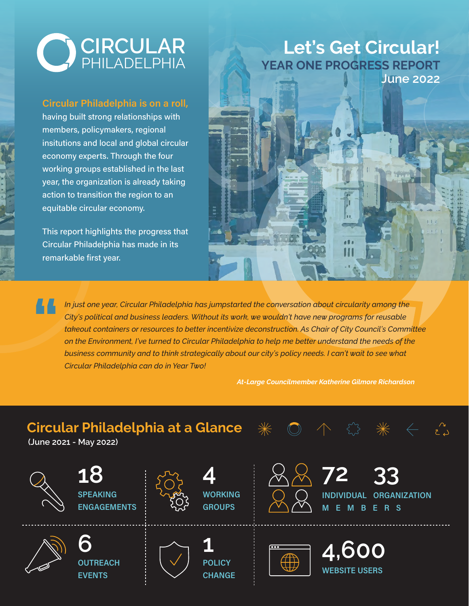

#### Circular Philadelphia is on a roll,

having built strong relationships with members, policymakers, regional insitutions and local and global circular economy experts. Through the four working groups established in the last year, the organization is already taking action to transition the region to an equitable circular economy.

This report highlights the progress that Circular Philadelphia has made in its remarkable first year.

## **YEAR ONE PROGRESS REPORT Let's Get Circular! June 2022**



*In just one year, Circular Philadelphia has jumpstarted the conversation about circularity among the City's political and business leaders. Without its work, we wouldn't have new programs for reusable takeout containers or resources to better incentivize deconstruction. As Chair of City Council's Committee on the Environment, I've turned to Circular Philadelphia to help me better understand the needs of the business community and to think strategically about our city's policy needs. I can't wait to see what Circular Philadelphia can do in Year Two!*  **"**

*At-Large Councilmember Katherine Gilmore Richardson*

# **Circular Philadelphia at a Glance**

**(June 2021 - May 2022)**

**EVENTS** 

SPEAKING : المستجمع WORKING : ( ) ( ) INDIVIDUAL ORGANIZATION **ENGAGEMENTS 18 OUTREACH 6 4 NORKING** GROUPS **1 POLICY** 

**CHANGE** 





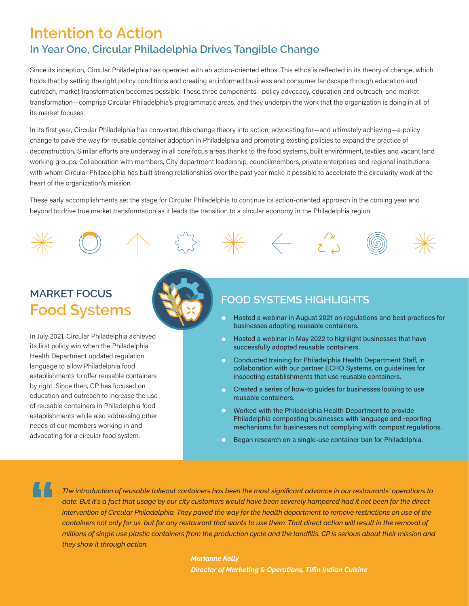## **In Year One, Circular Philadelphia Drives Tangible Change Intention to Action**

Since its inception, Circular Philadelphia has operated with an action-oriented ethos. This ethos is reflected in its theory of change, which holds that by setting the right policy conditions and creating an informed business and consumer landscape through education and outreach, market transformation becomes possible. These three components-policy advocacy, education and outreach, and market transformation—comprise Circular Philadelphia's programmatic areas, and they underpin the work that the organization is doing in all of its market focuses.

In its first year, Circular Philadelphia has converted this change theory into action, advocating for—and ultimately achieving—a policy change to pave the way for reusable container adoption in Philadelphia and promoting existing policies to expand the practice of deconstruction. Similar efforts are underway in all core focus areas thanks to the food systems, built environment, textiles and vacant land working groups. Collaboration with members, City department leadership, councilmembers, private enterprises and regional institutions with whom Circular Philadelphia has built strong relationships over the past year make it possible to accelerate the circularity work at the heart of the organization's mission.

These early accomplishments set the stage for Circular Philadelphia to continue its action-oriented approach in the coming year and beyond to drive true market transformation as it leads the transition to a circular economy in the Philadelphia region.

# **Food Systems MARKET FOCUS**

In July 2021, Circular Philadelphia achieved its first policy win when the Philadelphia Health Department updated regulation language to allow Philadelphia food establishments to offer reusable containers by right. Since then, CP has focused on education and outreach to increase the use of reusable containers in Philadelphia food establishments while also addressing other needs of our members working in and advocating for a circular food system.



#### **FOOD SYSTEMS HIGHLIGHTS**

- Hosted a webinar in August 2021 on regulations and best practices for businesses adopting reusable containers.
- Hosted a webinar in May 2022 to highlight businesses that have successfully adopted reusable containers.
- $\bullet$ Conducted training for Philadelphia Health Department Staff, in collaboration with our partner ECHO Systems, on guidelines for inspecting establishments that use reusable containers.
- Created a series of how-to guides for businesses looking to use reusable containers.
- $\bullet$ Worked with the Philadelphia Health Department to provide Philadelphia composting businesses with language and reporting mechanisms for businesses not complying with compost regulations.
- Began research on a single-use container ban for Philadelphia.

**"**

*The introduction of reusable takeout containers has been the most significant advance in our restaurants' operations to date. But it's a fact that usage by our city customers would have been severely hampered had it not been for the direct intervention of Circular Philadelphia. They paved the way for the health department to remove restrictions on use of the containers not only for us, but for any restaurant that wants to use them. That direct action will result in the removal of millions of single use plastic containers from the production cycle and the landfills. CP is serious about their mission and they show it through action.*

> *Marianne Kelly Director of Marketing & Operations, Tiffin Indian Cuisine*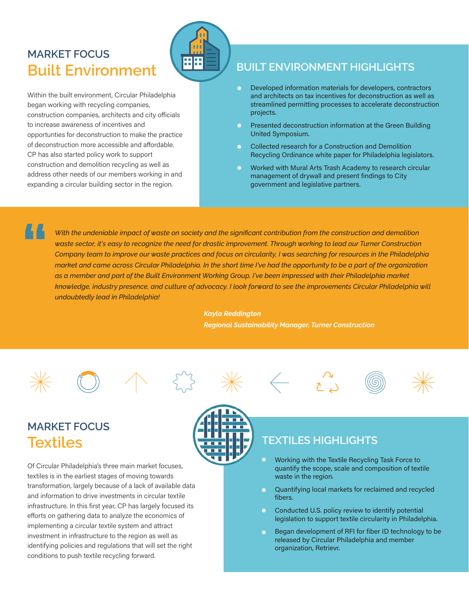# **Built Environment BUILT** BUILT ENVIRONMENT HIGHLIGHTS **MARKET FOCUS**

Within the built environment, Circular Philadelphia began working with recycling companies, construction companies, architects and city officials to increase awareness of incentives and opportunties for deconstruction to make the practice of deconstruction more accessible and affordable. CP has also started policy work to support construction and demolition recycling as well as address other needs of our members working in and expanding a circular building sector in the region.

- Developed information materials for developers, contractors  $\bullet$ and architects on tax incentives for deconstruction as well as streamlined permitting processes to accelerate deconstruction projects.
- Presented deconstruction information at the Green Building United Symposium.
- Collected research for a Construction and Demolition  $\bullet$ Recycling Ordinance white paper for Philadelphia legislators.
- Worked with Mural Arts Trash Academy to research circular management of drywall and present findings to City government and legislative partners.

**"**

*With the undeniable impact of waste on society and the significant contribution from the construction and demolition waste sector, it's easy to recognize the need for drastic improvement. Through working to lead our Turner Construction Company team to improve our waste practices and focus on circularity, I was searching for resources in the Philadelphia market and came across Circular Philadelphia. In the short time I've had the opportunity to be a part of the organization as a member and part of the Built Environment Working Group, I've been impressed with their Philadelphia market*  knowledge, industry presence, and culture of advocacy. I look forward to see the improvements Circular Philadelphia will *undoubtedly lead in Philadelphia!*

> *Kayla Reddington Regional Sustainability Manager, Turner Construction*















# **Textiles MARKET FOCUS**

Of Circular Philadelphia's three main market focuses, textiles is in the earliest stages of moving towards transformation, largely because of a lack of available data and information to drive investments in circular textile infrastructure. In this first year, CP has largely focused its efforts on gathering data to analyze the economics of implementing a circular textile system and attract investment in infrastructure to the region as well as identifying policies and regulations that will set the right conditions to push textile recycling forward.



### **TEXTILES HIGHLIGHTS**

- Working with the Textile Recycling Task Force to quantify the scope, scale and composition of textile waste in the region.
- Quantifying local markets for reclaimed and recycled  $\bullet$ fibers.
- $\bullet$ Conducted U.S. policy review to identify potential legislation to support textile circularity in Philadelphia.
- $\bullet$ Began development of RFI for fiber ID technology to be released by Circular Philadelphia and member organization, Retrievr.